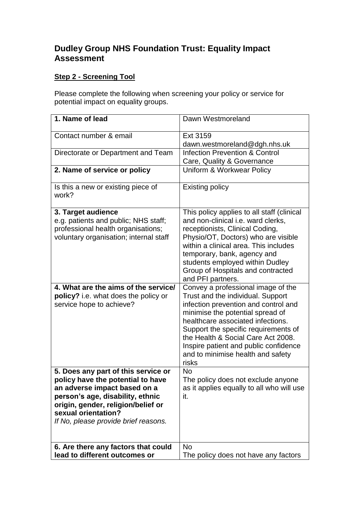## **Dudley Group NHS Foundation Trust: Equality Impact Assessment**

## **Step 2 - Screening Tool**

Please complete the following when screening your policy or service for potential impact on equality groups.

| 1. Name of lead                                                                                                                                                                                                                                   | Dawn Westmoreland                                                                                                                                                                                                                                                                                                                                             |
|---------------------------------------------------------------------------------------------------------------------------------------------------------------------------------------------------------------------------------------------------|---------------------------------------------------------------------------------------------------------------------------------------------------------------------------------------------------------------------------------------------------------------------------------------------------------------------------------------------------------------|
| Contact number & email                                                                                                                                                                                                                            | Ext 3159<br>dawn.westmoreland@dgh.nhs.uk                                                                                                                                                                                                                                                                                                                      |
| Directorate or Department and Team                                                                                                                                                                                                                | <b>Infection Prevention &amp; Control</b><br>Care, Quality & Governance                                                                                                                                                                                                                                                                                       |
| 2. Name of service or policy                                                                                                                                                                                                                      | Uniform & Workwear Policy                                                                                                                                                                                                                                                                                                                                     |
| Is this a new or existing piece of<br>work?                                                                                                                                                                                                       | <b>Existing policy</b>                                                                                                                                                                                                                                                                                                                                        |
| 3. Target audience<br>e.g. patients and public; NHS staff;<br>professional health organisations;<br>voluntary organisation; internal staff                                                                                                        | This policy applies to all staff (clinical<br>and non-clinical i.e. ward clerks,<br>receptionists, Clinical Coding,<br>Physio/OT, Doctors) who are visible<br>within a clinical area. This includes<br>temporary, bank, agency and<br>students employed within Dudley<br>Group of Hospitals and contracted<br>and PFI partners.                               |
| 4. What are the aims of the service/<br>policy? i.e. what does the policy or<br>service hope to achieve?                                                                                                                                          | Convey a professional image of the<br>Trust and the individual. Support<br>infection prevention and control and<br>minimise the potential spread of<br>healthcare associated infections.<br>Support the specific requirements of<br>the Health & Social Care Act 2008.<br>Inspire patient and public confidence<br>and to minimise health and safety<br>risks |
| 5. Does any part of this service or<br>policy have the potential to have<br>an adverse impact based on a<br>person's age, disability, ethnic<br>origin, gender, religion/belief or<br>sexual orientation?<br>If No, please provide brief reasons. | <b>No</b><br>The policy does not exclude anyone<br>as it applies equally to all who will use<br>it.                                                                                                                                                                                                                                                           |
| 6. Are there any factors that could<br>lead to different outcomes or                                                                                                                                                                              | <b>No</b><br>The policy does not have any factors                                                                                                                                                                                                                                                                                                             |